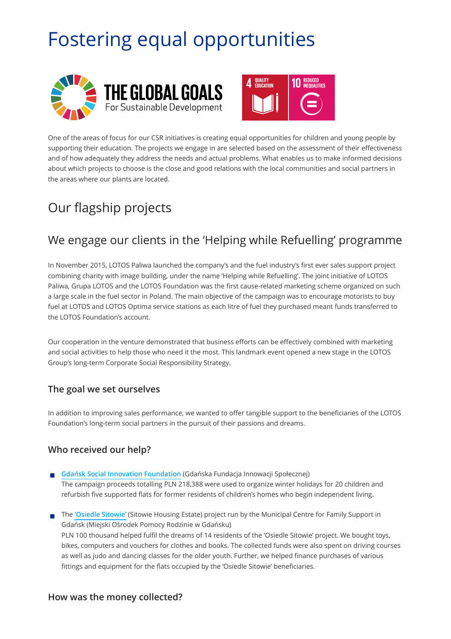# Fostering equal opportunities





One of the areas of focus for our CSR initiatives is creating equal opportunities for children and young people by supporting their education. The projects we engage in are selected based on the assessment of their effectiveness and of how adequately they address the needs and actual problems. What enables us to make informed decisions about which projects to choose is the close and good relations with the local communities and social partners in the areas where our plants are located.

## Our flagship projects

### We engage our clients in the 'Helping while Refuelling' programme

In November 2015, LOTOS Paliwa launched the company's and the fuel industry's first ever sales support project combining charity with image building, under the name 'Helping while Refuelling'. The joint initiative of LOTOS Paliwa, Grupa LOTOS and the LOTOS Foundation was the first cause-related marketing scheme organized on such a large scale in the fuel sector in Poland. The main objective of the campaign was to encourage motorists to buy fuel at LOTOS and LOTOS Optima service stations as each litre of fuel they purchased meant funds transferred to the LOTOS Foundation's account.

Our cooperation in the venture demonstrated that business efforts can be effectively combined with marketing and social activities to help those who need it the most. This landmark event opened a new stage in the LOTOS Group's long-term Corporate Social Responsibility Strategy.

#### **The goal we set ourselves**

In addition to improving sales performance, we wanted to offer tangible support to the beneficiaries of the LOTOS Foundation's long-term social partners in the pursuit of their passions and dreams.

### **Who received our help?**

- **Gdań[sk Social Innovation Foundation](http://gfis.pl/)** (Gdańska Fundacja Innowacji Społecznej)  $\mathcal{C}^{\mathcal{A}}$ The campaign proceeds totalling PLN 218,388 were used to organize winter holidays for 20 children and refurbish five supported flats for former residents of children's homes who begin independent living.
- The **['Osiedle Sitowie'](http://www.osiedlesitowie.pl/)** (Sitowie Housing Estate) project run by the Municipal Centre for Family Support in Gdańsk (Miejski Ośrodek Pomocy Rodzinie w Gdańsku) PLN 100 thousand helped fulfil the dreams of 14 residents of the 'Osiedle Sitowie' project. We bought toys, bikes, computers and vouchers for clothes and books. The collected funds were also spent on driving courses as well as judo and dancing classes for the older youth. Further, we helped finance purchases of various fittings and equipment for the flats occupied by the 'Osiedle Sitowie' beneficiaries.

#### **How was the money collected?**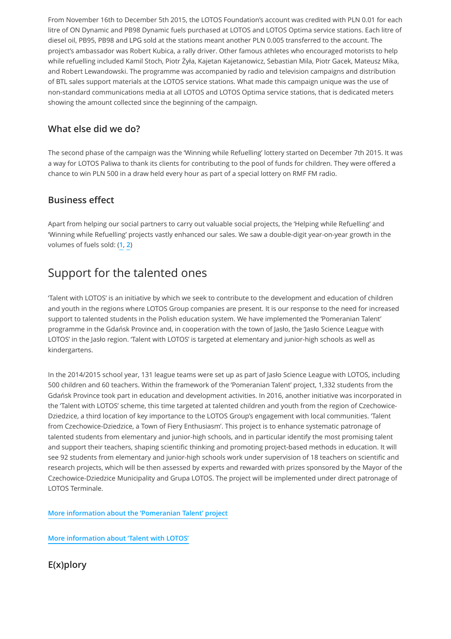From November 16th to December 5th 2015, the LOTOS Foundation's account was credited with PLN 0.01 for each litre of ON Dynamic and PB98 Dynamic fuels purchased at LOTOS and LOTOS Optima service stations. Each litre of diesel oil, PB95, PB98 and LPG sold at the stations meant another PLN 0.005 transferred to the account. The project's ambassador was Robert Kubica, a rally driver. Other famous athletes who encouraged motorists to help while refuelling included Kamil Stoch, Piotr Żyła, Kajetan Kajetanowicz, Sebastian Mila, Piotr Gacek, Mateusz Mika, and Robert Lewandowski. The programme was accompanied by radio and television campaigns and distribution of BTL sales support materials at the LOTOS service stations. What made this campaign unique was the use of non-standard communications media at all LOTOS and LOTOS Optima service stations, that is dedicated meters showing the amount collected since the beginning of the campaign.

### **What else did we do?**

The second phase of the campaign was the 'Winning while Refuelling' lottery started on December 7th 2015. It was a way for LOTOS Paliwa to thank its clients for contributing to the pool of funds for children. They were offered a chance to win PLN 500 in a draw held every hour as part of a special lottery on RMF FM radio.

### **Business effect**

Apart from helping our social partners to carry out valuable social projects, the 'Helping while Refuelling' and 'Winning while Refuelling' projects vastly enhanced our sales. We saw a double-digit year-on-year growth in the volumes of fuels sold: (**[1](http://www.pomaganieprzeztankowanie.lotos.pl/)**, **[2](http://odpowiedzialny.lotos.pl/2121/fundacja_lotos/akcja_pomaganie_przez_tankowanie)**)

### Support for the talented ones

'Talent with LOTOS' is an initiative by which we seek to contribute to the development and education of children and youth in the regions where LOTOS Group companies are present. It is our response to the need for increased support to talented students in the Polish education system. We have implemented the 'Pomeranian Talent' programme in the Gdańsk Province and, in cooperation with the town of Jasło, the 'Jasło Science League with LOTOS' in the Jasło region. 'Talent with LOTOS' is targeted at elementary and junior-high schools as well as kindergartens.

In the 2014/2015 school year, 131 league teams were set up as part of Jasło Science League with LOTOS, including 500 children and 60 teachers. Within the framework of the 'Pomeranian Talent' project, 1,332 students from the Gdańsk Province took part in education and development activities. In 2016, another initiative was incorporated in the 'Talent with LOTOS' scheme, this time targeted at talented children and youth from the region of Czechowice-Dziedzice, a third location of key importance to the LOTOS Group's engagement with local communities. 'Talent from Czechowice-Dziedzice, a Town of Fiery Enthusiasm'. This project is to enhance systematic patronage of talented students from elementary and junior-high schools, and in particular identify the most promising talent and support their teachers, shaping scientific thinking and promoting project-based methods in education. It will see 92 students from elementary and junior-high schools work under supervision of 18 teachers on scientific and research projects, which will be then assessed by experts and rewarded with prizes sponsored by the Mayor of the Czechowice-Dziedzice Municipality and Grupa LOTOS. The project will be implemented under direct patronage of LOTOS Terminale.

**[More information about the 'Pomeranian Talent' project](http://lotos.pl/322/p,174,n,4469/grupa_kapitalowa/centrum_prasowe/aktualnosci/wspieramy_zdolnych_uczniow)**

**[More information about 'Talent with LOTOS'](http://www.lotos.pl/322/p,174,n,4289/grupa_kapitalowa/centrum_prasowe/aktualnosci/zdolni_z_lotosem)**

**E(x)plory**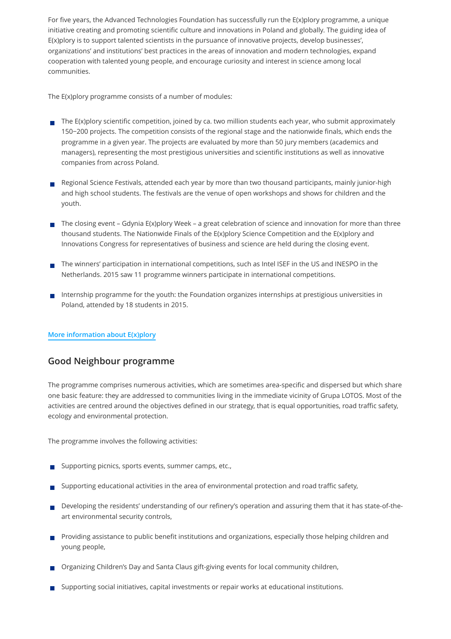For five years, the Advanced Technologies Foundation has successfully run the E(x)plory programme, a unique initiative creating and promoting scientific culture and innovations in Poland and globally. The guiding idea of E(x)plory is to support talented scientists in the pursuance of innovative projects, develop businesses', organizations' and institutions' best practices in the areas of innovation and modern technologies, expand cooperation with talented young people, and encourage curiosity and interest in science among local communities.

The E(x)plory programme consists of a number of modules:

- The E(x)plory scientific competition, joined by ca. two million students each year, who submit approximately 150−200 projects. The competition consists of the regional stage and the nationwide finals, which ends the programme in a given year. The projects are evaluated by more than 50 jury members (academics and managers), representing the most prestigious universities and scientific institutions as well as innovative companies from across Poland.
- Regional Science Festivals, attended each year by more than two thousand participants, mainly junior-high and high school students. The festivals are the venue of open workshops and shows for children and the youth.
- The closing event Gdynia E(x)plory Week a great celebration of science and innovation for more than three thousand students. The Nationwide Finals of the E(x)plory Science Competition and the E(x)plory and Innovations Congress for representatives of business and science are held during the closing event.
- The winners' participation in international competitions, such as Intel ISEF in the US and INESPO in the Netherlands. 2015 saw 11 programme winners participate in international competitions.
- Internship programme for the youth: the Foundation organizes internships at prestigious universities in Poland, attended by 18 students in 2015.

#### **[More information about E\(x\)plory](http://www.explory.pl/en/)**

#### **Good Neighbour programme**

The programme comprises numerous activities, which are sometimes area-specific and dispersed but which share one basic feature: they are addressed to communities living in the immediate vicinity of Grupa LOTOS. Most of the activities are centred around the objectives defined in our strategy, that is equal opportunities, road traffic safety, ecology and environmental protection.

The programme involves the following activities:

- Supporting picnics, sports events, summer camps, etc.,
- Supporting educational activities in the area of environmental protection and road traffic safety,
- Developing the residents' understanding of our refinery's operation and assuring them that it has state-of-theart environmental security controls,
- **Providing assistance to public benefit institutions and organizations, especially those helping children and** young people,
- Organizing Children's Day and Santa Claus gift-giving events for local community children,
- Supporting social initiatives, capital investments or repair works at educational institutions.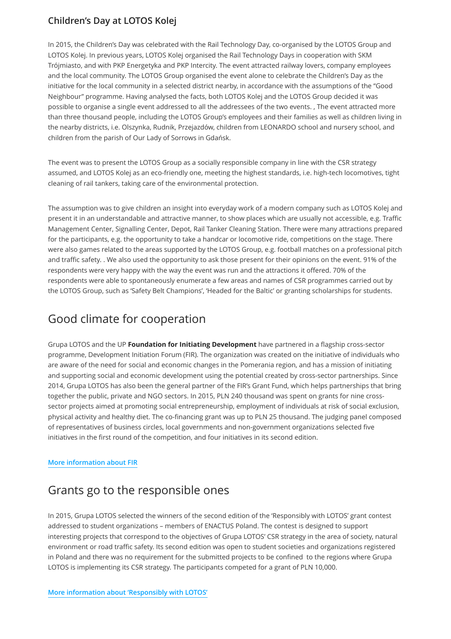### **Children's Day at LOTOS Kolej**

In 2015, the Children's Day was celebrated with the Rail Technology Day, co-organised by the LOTOS Group and LOTOS Kolej. In previous years, LOTOS Kolej organised the Rail Technology Days in cooperation with SKM Trójmiasto, and with PKP Energetyka and PKP Intercity. The event attracted railway lovers, company employees and the local community. The LOTOS Group organised the event alone to celebrate the Children's Day as the initiative for the local community in a selected district nearby, in accordance with the assumptions of the "Good Neighbour" programme. Having analysed the facts, both LOTOS Kolej and the LOTOS Group decided it was possible to organise a single event addressed to all the addressees of the two events. , The event attracted more than three thousand people, including the LOTOS Group's employees and their families as well as children living in the nearby districts, i.e. Olszynka, Rudnik, Przejazdów, children from LEONARDO school and nursery school, and children from the parish of Our Lady of Sorrows in Gdańsk.

The event was to present the LOTOS Group as a socially responsible company in line with the CSR strategy assumed, and LOTOS Kolej as an eco-friendly one, meeting the highest standards, i.e. high-tech locomotives, tight cleaning of rail tankers, taking care of the environmental protection.

The assumption was to give children an insight into everyday work of a modern company such as LOTOS Kolej and present it in an understandable and attractive manner, to show places which are usually not accessible, e.g. Traffic Management Center, Signalling Center, Depot, Rail Tanker Cleaning Station. There were many attractions prepared for the participants, e.g. the opportunity to take a handcar or locomotive ride, competitions on the stage. There were also games related to the areas supported by the LOTOS Group, e.g. football matches on a professional pitch and traffic safety. . We also used the opportunity to ask those present for their opinions on the event. 91% of the respondents were very happy with the way the event was run and the attractions it offered. 70% of the respondents were able to spontaneously enumerate a few areas and names of CSR programmes carried out by the LOTOS Group, such as 'Safety Belt Champions', 'Headed for the Baltic' or granting scholarships for students.

### Good climate for cooperation

Grupa LOTOS and the UP **Foundation for Initiating Development** have partnered in a flagship cross-sector programme, Development Initiation Forum (FIR). The organization was created on the initiative of individuals who are aware of the need for social and economic changes in the Pomerania region, and has a mission of initiating and supporting social and economic development using the potential created by cross-sector partnerships. Since 2014, Grupa LOTOS has also been the general partner of the FIR's Grant Fund, which helps partnerships that bring together the public, private and NGO sectors. In 2015, PLN 240 thousand was spent on grants for nine crosssector projects aimed at promoting social entrepreneurship, employment of individuals at risk of social exclusion, physical activity and healthy diet. The co-financing grant was up to PLN 25 thousand. The judging panel composed of representatives of business circles, local governments and non-government organizations selected five initiatives in the first round of the competition, and four initiatives in its second edition.

#### **[More information about FIR](http://www.forumrozwoju.org.pl/)**

### Grants go to the responsible ones

In 2015, Grupa LOTOS selected the winners of the second edition of the 'Responsibly with LOTOS' grant contest addressed to student organizations – members of ENACTUS Poland. The contest is designed to support interesting projects that correspond to the objectives of Grupa LOTOS' CSR strategy in the area of society, natural environment or road traffic safety. Its second edition was open to student societies and organizations registered in Poland and there was no requirement for the submitted projects to be confined to the regions where Grupa LOTOS is implementing its CSR strategy. The participants competed for a grant of PLN 10,000.